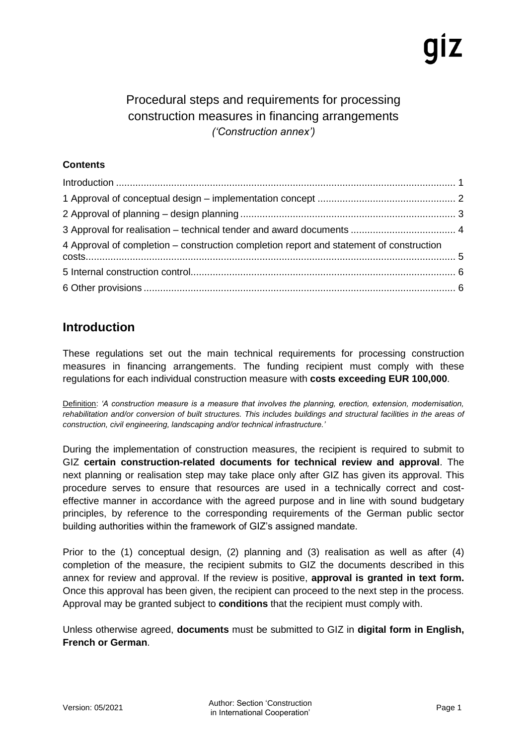## Procedural steps and requirements for processing construction measures in financing arrangements *('Construction annex')*

### **Contents**

| 4 Approval of completion - construction completion report and statement of construction |  |
|-----------------------------------------------------------------------------------------|--|
|                                                                                         |  |
|                                                                                         |  |

## <span id="page-0-0"></span>**Introduction**

These regulations set out the main technical requirements for processing construction measures in financing arrangements. The funding recipient must comply with these regulations for each individual construction measure with **costs exceeding EUR 100,000**.

Definition: *'A construction measure is a measure that involves the planning, erection, extension, modernisation, rehabilitation and/or conversion of built structures. This includes buildings and structural facilities in the areas of construction, civil engineering, landscaping and/or technical infrastructure.'*

During the implementation of construction measures, the recipient is required to submit to GIZ **certain construction-related documents for technical review and approval**. The next planning or realisation step may take place only after GIZ has given its approval. This procedure serves to ensure that resources are used in a technically correct and costeffective manner in accordance with the agreed purpose and in line with sound budgetary principles, by reference to the corresponding requirements of the German public sector building authorities within the framework of GIZ's assigned mandate.

Prior to the (1) conceptual design, (2) planning and (3) realisation as well as after (4) completion of the measure, the recipient submits to GIZ the documents described in this annex for review and approval. If the review is positive, **approval is granted in text form.** Once this approval has been given, the recipient can proceed to the next step in the process. Approval may be granted subject to **conditions** that the recipient must comply with.

Unless otherwise agreed, **documents** must be submitted to GIZ in **digital form in English, French or German**.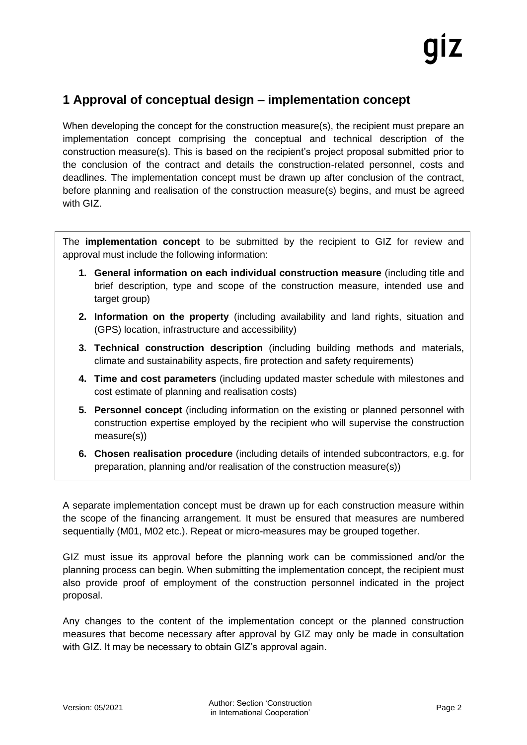## <span id="page-1-0"></span>**1 Approval of conceptual design – implementation concept**

When developing the concept for the construction measure(s), the recipient must prepare an implementation concept comprising the conceptual and technical description of the construction measure(s). This is based on the recipient's project proposal submitted prior to the conclusion of the contract and details the construction-related personnel, costs and deadlines. The implementation concept must be drawn up after conclusion of the contract, before planning and realisation of the construction measure(s) begins, and must be agreed with GIZ.

The **implementation concept** to be submitted by the recipient to GIZ for review and approval must include the following information:

- **1. General information on each individual construction measure** (including title and brief description, type and scope of the construction measure, intended use and target group)
- **2. Information on the property** (including availability and land rights, situation and (GPS) location, infrastructure and accessibility)
- **3. Technical construction description** (including building methods and materials, climate and sustainability aspects, fire protection and safety requirements)
- **4. Time and cost parameters** (including updated master schedule with milestones and cost estimate of planning and realisation costs)
- **5. Personnel concept** (including information on the existing or planned personnel with construction expertise employed by the recipient who will supervise the construction measure(s))
- **6. Chosen realisation procedure** (including details of intended subcontractors, e.g. for preparation, planning and/or realisation of the construction measure(s))

A separate implementation concept must be drawn up for each construction measure within the scope of the financing arrangement. It must be ensured that measures are numbered sequentially (M01, M02 etc.). Repeat or micro-measures may be grouped together.

GIZ must issue its approval before the planning work can be commissioned and/or the planning process can begin. When submitting the implementation concept, the recipient must also provide proof of employment of the construction personnel indicated in the project proposal.

Any changes to the content of the implementation concept or the planned construction measures that become necessary after approval by GIZ may only be made in consultation with GIZ. It may be necessary to obtain GIZ's approval again.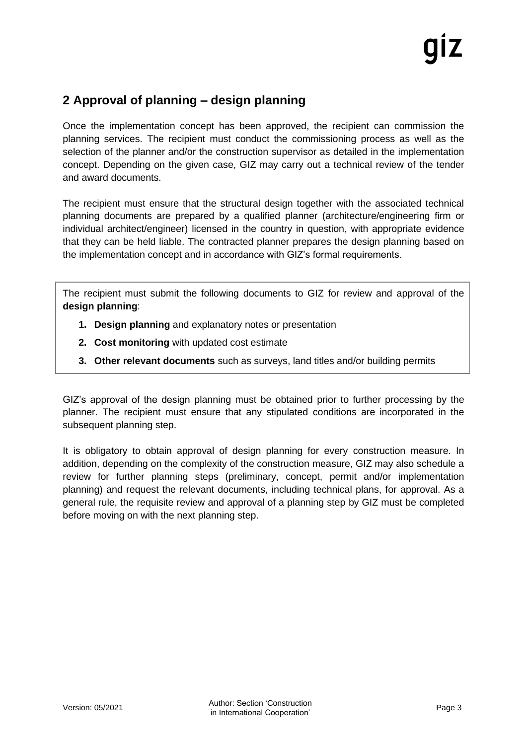# <span id="page-2-0"></span>**2 Approval of planning – design planning**

Once the implementation concept has been approved, the recipient can commission the planning services. The recipient must conduct the commissioning process as well as the selection of the planner and/or the construction supervisor as detailed in the implementation concept. Depending on the given case, GIZ may carry out a technical review of the tender and award documents.

The recipient must ensure that the structural design together with the associated technical planning documents are prepared by a qualified planner (architecture/engineering firm or individual architect/engineer) licensed in the country in question, with appropriate evidence that they can be held liable. The contracted planner prepares the design planning based on the implementation concept and in accordance with GIZ's formal requirements.

The recipient must submit the following documents to GIZ for review and approval of the **design planning**:

- **1. Design planning** and explanatory notes or presentation
- **2. Cost monitoring** with updated cost estimate
- **3. Other relevant documents** such as surveys, land titles and/or building permits

GIZ's approval of the design planning must be obtained prior to further processing by the planner. The recipient must ensure that any stipulated conditions are incorporated in the subsequent planning step.

It is obligatory to obtain approval of design planning for every construction measure. In addition, depending on the complexity of the construction measure, GIZ may also schedule a review for further planning steps (preliminary, concept, permit and/or implementation planning) and request the relevant documents, including technical plans, for approval. As a general rule, the requisite review and approval of a planning step by GIZ must be completed before moving on with the next planning step.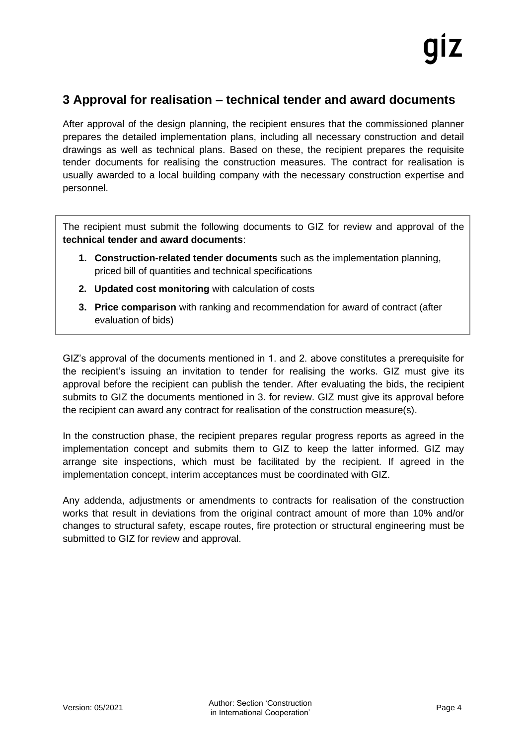## <span id="page-3-0"></span>**3 Approval for realisation – technical tender and award documents**

After approval of the design planning, the recipient ensures that the commissioned planner prepares the detailed implementation plans, including all necessary construction and detail drawings as well as technical plans. Based on these, the recipient prepares the requisite tender documents for realising the construction measures. The contract for realisation is usually awarded to a local building company with the necessary construction expertise and personnel.

The recipient must submit the following documents to GIZ for review and approval of the **technical tender and award documents**:

- **1. Construction-related tender documents** such as the implementation planning, priced bill of quantities and technical specifications
- **2. Updated cost monitoring** with calculation of costs
- **3. Price comparison** with ranking and recommendation for award of contract (after evaluation of bids)

GIZ's approval of the documents mentioned in 1. and 2. above constitutes a prerequisite for the recipient's issuing an invitation to tender for realising the works. GIZ must give its approval before the recipient can publish the tender. After evaluating the bids, the recipient submits to GIZ the documents mentioned in 3. for review. GIZ must give its approval before the recipient can award any contract for realisation of the construction measure(s).

In the construction phase, the recipient prepares regular progress reports as agreed in the implementation concept and submits them to GIZ to keep the latter informed. GIZ may arrange site inspections, which must be facilitated by the recipient. If agreed in the implementation concept, interim acceptances must be coordinated with GIZ.

Any addenda, adjustments or amendments to contracts for realisation of the construction works that result in deviations from the original contract amount of more than 10% and/or changes to structural safety, escape routes, fire protection or structural engineering must be submitted to GIZ for review and approval.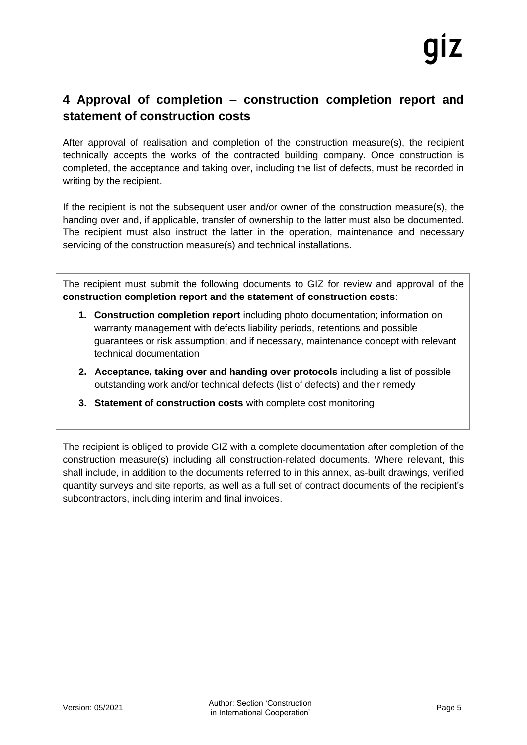## <span id="page-4-0"></span>**4 Approval of completion – construction completion report and statement of construction costs**

After approval of realisation and completion of the construction measure(s), the recipient technically accepts the works of the contracted building company. Once construction is completed, the acceptance and taking over, including the list of defects, must be recorded in writing by the recipient.

If the recipient is not the subsequent user and/or owner of the construction measure(s), the handing over and, if applicable, transfer of ownership to the latter must also be documented. The recipient must also instruct the latter in the operation, maintenance and necessary servicing of the construction measure(s) and technical installations.

The recipient must submit the following documents to GIZ for review and approval of the **construction completion report and the statement of construction costs**:

- **1. Construction completion report** including photo documentation; information on warranty management with defects liability periods, retentions and possible guarantees or risk assumption; and if necessary, maintenance concept with relevant technical documentation
- **2. Acceptance, taking over and handing over protocols** including a list of possible outstanding work and/or technical defects (list of defects) and their remedy
- **3. Statement of construction costs** with complete cost monitoring

The recipient is obliged to provide GIZ with a complete documentation after completion of the construction measure(s) including all construction-related documents. Where relevant, this shall include, in addition to the documents referred to in this annex, as-built drawings, verified quantity surveys and site reports, as well as a full set of contract documents of the recipient's subcontractors, including interim and final invoices.